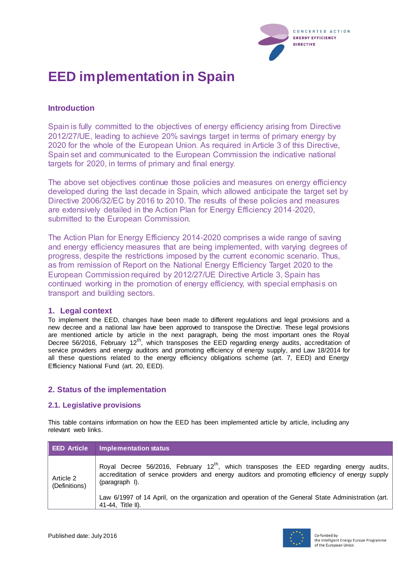

# **EED implementation in Spain**

## **Introduction**

Spain is fully committed to the objectives of energy efficiency arising from Directive 2012/27/UE, leading to achieve 20% savings target in terms of primary energy by 2020 for the whole of the European Union. As required in Article 3 of this Directive, Spain set and communicated to the European Commission the indicative national targets for 2020, in terms of primary and final energy.

The above set objectives continue those policies and measures on energy efficiency developed during the last decade in Spain, which allowed anticipate the target set by Directive 2006/32/EC by 2016 to 2010. The results of these policies and measures are extensively detailed in the Action Plan for Energy Efficiency 2014-2020, submitted to the European Commission.

The Action Plan for Energy Efficiency 2014-2020 comprises a wide range of saving and energy efficiency measures that are being implemented, with varying degrees of progress, despite the restrictions imposed by the current economic scenario. Thus, as from remission of Report on the National Energy Efficiency Target 2020 to the European Commission required by 2012/27/UE Directive Article 3, Spain has continued working in the promotion of energy efficiency, with special emphasis on transport and building sectors.

## **1. Legal context**

To implement the EED, changes have been made to different regulations and legal provisions and a new decree and a national law have been approved to transpose the Directive. These legal provisions are mentioned article by article in the next paragraph, being the most important ones the Royal Decree 56/2016, February 12<sup>th</sup>, which transposes the EED regarding energy audits, accreditation of service providers and energy auditors and promoting efficiency of energy supply, and Law 18/2014 for all these questions related to the energy efficiency obligations scheme (art. 7, EED) and Energy Efficiency National Fund (art. 20, EED).

## **2. Status of the implementation**

## **2.1. Legislative provisions**

This table contains information on how the EED has been implemented article by article, including any relevant web links.

| <b>EED Article</b>         | Implementation status                                                                                                                                                                                                                                                                                                                             |
|----------------------------|---------------------------------------------------------------------------------------------------------------------------------------------------------------------------------------------------------------------------------------------------------------------------------------------------------------------------------------------------|
| Article 2<br>(Definitions) | Royal Decree 56/2016, February $12^{th}$ , which transposes the EED regarding energy<br>audits.<br>accreditation of service providers and energy auditors and promoting efficiency of energy supply<br>(paragraph I).<br>Law 6/1997 of 14 April, on the organization and operation of the General State Administration (art.<br>41-44, Title II). |

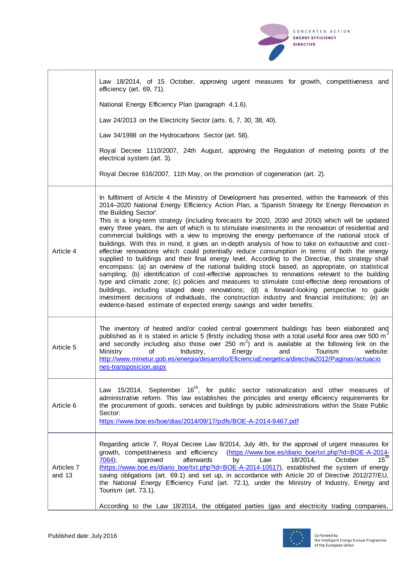|                      | Law 18/2014, of 15 October, approving urgent measures for growth, competitiveness and<br>efficiency (art. 69, 71).                                                                                                                                                                                                                                                                                                                                                                                                                                                                                                                                                                                                                                                                                                                                                                                                                                                                                 |
|----------------------|----------------------------------------------------------------------------------------------------------------------------------------------------------------------------------------------------------------------------------------------------------------------------------------------------------------------------------------------------------------------------------------------------------------------------------------------------------------------------------------------------------------------------------------------------------------------------------------------------------------------------------------------------------------------------------------------------------------------------------------------------------------------------------------------------------------------------------------------------------------------------------------------------------------------------------------------------------------------------------------------------|
|                      | National Energy Efficiency Plan (paragraph 4.1.6).                                                                                                                                                                                                                                                                                                                                                                                                                                                                                                                                                                                                                                                                                                                                                                                                                                                                                                                                                 |
|                      | Law 24/2013 on the Electricity Sector (arts. 6, 7, 30, 38, 40).                                                                                                                                                                                                                                                                                                                                                                                                                                                                                                                                                                                                                                                                                                                                                                                                                                                                                                                                    |
|                      | Law 34/1998 on the Hydrocarbons Sector (art. 58).                                                                                                                                                                                                                                                                                                                                                                                                                                                                                                                                                                                                                                                                                                                                                                                                                                                                                                                                                  |
|                      | Royal Decree 1110/2007, 24th August, approving the Regulation of metering points of the<br>electrical system (art. 3).                                                                                                                                                                                                                                                                                                                                                                                                                                                                                                                                                                                                                                                                                                                                                                                                                                                                             |
|                      | Royal Decree 616/2007, 11th May, on the promotion of cogeneration (art. 2).                                                                                                                                                                                                                                                                                                                                                                                                                                                                                                                                                                                                                                                                                                                                                                                                                                                                                                                        |
| Article 4            | In fulfilment of Article 4 the Ministry of Development has presented, within the framework of this<br>2014–2020 National Energy Efficiency Action Plan, a 'Spanish Strategy for Energy Renovation in<br>the Building Sector'.<br>This is a long-term strategy (including forecasts for 2020, 2030 and 2050) which will be updated<br>every three years, the aim of which is to stimulate investments in the renovation of residential and                                                                                                                                                                                                                                                                                                                                                                                                                                                                                                                                                          |
|                      | commercial buildings with a view to improving the energy performance of the national stock of<br>buildings. With this in mind, it gives an in-depth analysis of how to take on exhaustive and cost-<br>effective renovations which could potentially reduce consumption in terms of both the energy<br>supplied to buildings and their final energy level. According to the Directive, this strategy shall<br>encompass: (a) an overview of the national building stock based, as appropriate, on statistical<br>sampling; (b) identification of cost-effective approaches to renovations relevant to the building<br>type and climatic zone; (c) policies and measures to stimulate cost-effective deep renovations of<br>buildings, including staged deep renovations; (d) a forward-looking perspective to guide<br>investment decisions of individuals, the construction industry and financial institutions; (e) an<br>evidence-based estimate of expected energy savings and wider benefits. |
| Article 5            | The inventory of heated and/or cooled central government buildings has been elaborated and<br>published as it is stated in article 5 (firstly including those with a total useful floor area over 500 m <sup>2</sup><br>and secondly including also those over 250 $m2$ ) and is available at the following link on the<br>Ministry of Industry, Energy and Tourism website:<br>http://www.minetur.gob.es/energia/desarrollo/EficienciaEnergetica/directiva2012/Paginas/actuacio<br>nes-transposicion.aspx                                                                                                                                                                                                                                                                                                                                                                                                                                                                                         |
| Article 6            | Law 15/2014, September 16 <sup>th</sup> , for public sector rationalization and other measures of<br>administrative reform. This law establishes the principles and energy efficiency requirements for<br>the procurement of goods, services and buildings by public administrations within the State Public<br>Sector:<br>https://www.boe.es/boe/dias/2014/09/17/pdfs/BOE-A-2014-9467.pdf                                                                                                                                                                                                                                                                                                                                                                                                                                                                                                                                                                                                         |
| Articles 7<br>and 13 | Regarding article 7, Royal Decree Law 8/2014, July 4th, for the approval of urgent measures for<br>growth, competitiveness and efficiency<br>(https://www.boe.es/diario_boe/txt.php?id=BOE-A-2014-<br>$15^{\overline{th}}$<br>afterwards<br>18/2014,<br>October<br>7064),<br>approved<br>Law<br>by<br>(https://www.boe.es/diario_boe/txt.php?id=BOE-A-2014-10517), established the system of energy<br>saving obligations (art. 69.1) and set up, in accordance with Article 20 of Directive 2012/27/EU,<br>the National Energy Efficiency Fund (art. 72.1), under the Ministry of Industry, Energy and<br>Tourism (art. 73.1).                                                                                                                                                                                                                                                                                                                                                                    |
|                      | According to the Law 18/2014, the obligated parties (gas and electricity trading companies,                                                                                                                                                                                                                                                                                                                                                                                                                                                                                                                                                                                                                                                                                                                                                                                                                                                                                                        |



CONCERTED ACTION **ENERGY EFFICIENCY DIRECTIVE**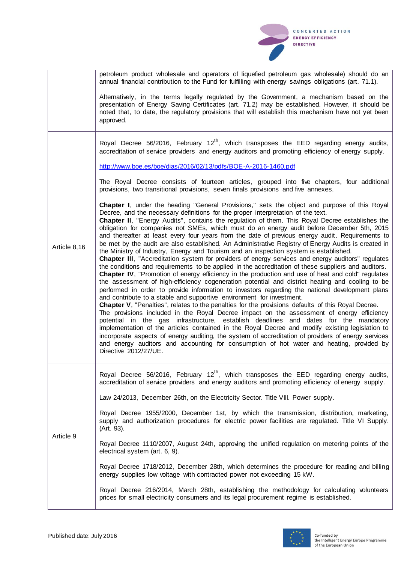

|              | petroleum product wholesale and operators of liquefied petroleum gas wholesale) should do an<br>annual financial contribution to the Fund for fulfilling with energy savings obligations (art. 71.1).                                                                                                                                                                                                                                                                                                                                                                                                                                                                                                                                                                                                                                                                                                                                                                                                                                                                                                                                                                                                                                                                                                                                                                                                                                                                                                                                                                                                                                                                                                                                                                                                                                                                                                                    |
|--------------|--------------------------------------------------------------------------------------------------------------------------------------------------------------------------------------------------------------------------------------------------------------------------------------------------------------------------------------------------------------------------------------------------------------------------------------------------------------------------------------------------------------------------------------------------------------------------------------------------------------------------------------------------------------------------------------------------------------------------------------------------------------------------------------------------------------------------------------------------------------------------------------------------------------------------------------------------------------------------------------------------------------------------------------------------------------------------------------------------------------------------------------------------------------------------------------------------------------------------------------------------------------------------------------------------------------------------------------------------------------------------------------------------------------------------------------------------------------------------------------------------------------------------------------------------------------------------------------------------------------------------------------------------------------------------------------------------------------------------------------------------------------------------------------------------------------------------------------------------------------------------------------------------------------------------|
|              | Alternatively, in the terms legally regulated by the Government, a mechanism based on the<br>presentation of Energy Saving Certificates (art. 71.2) may be established. However, it should be<br>noted that, to date, the regulatory provisions that will establish this mechanism have not yet been<br>approved.                                                                                                                                                                                                                                                                                                                                                                                                                                                                                                                                                                                                                                                                                                                                                                                                                                                                                                                                                                                                                                                                                                                                                                                                                                                                                                                                                                                                                                                                                                                                                                                                        |
|              | Royal Decree 56/2016, February 12 <sup>th</sup> , which transposes the EED regarding energy audits,<br>accreditation of service providers and energy auditors and promoting efficiency of energy supply.                                                                                                                                                                                                                                                                                                                                                                                                                                                                                                                                                                                                                                                                                                                                                                                                                                                                                                                                                                                                                                                                                                                                                                                                                                                                                                                                                                                                                                                                                                                                                                                                                                                                                                                 |
|              | http://www.boe.es/boe/dias/2016/02/13/pdfs/BOE-A-2016-1460.pdf                                                                                                                                                                                                                                                                                                                                                                                                                                                                                                                                                                                                                                                                                                                                                                                                                                                                                                                                                                                                                                                                                                                                                                                                                                                                                                                                                                                                                                                                                                                                                                                                                                                                                                                                                                                                                                                           |
|              | The Royal Decree consists of fourteen articles, grouped into five chapters, four additional<br>provisions, two transitional provisions, seven finals provisions and five annexes.                                                                                                                                                                                                                                                                                                                                                                                                                                                                                                                                                                                                                                                                                                                                                                                                                                                                                                                                                                                                                                                                                                                                                                                                                                                                                                                                                                                                                                                                                                                                                                                                                                                                                                                                        |
| Article 8,16 | Chapter I, under the heading "General Provisions," sets the object and purpose of this Royal<br>Decree, and the necessary definitions for the proper interpretation of the text.<br><b>Chapter II</b> , "Energy Audits", contains the regulation of them. This Royal Decree establishes the<br>obligation for companies not SMEs, which must do an energy audit before December 5th, 2015<br>and thereafter at least every four years from the date of previous energy audit. Requirements to<br>be met by the audit are also established. An Administrative Registry of Energy Audits is created in<br>the Ministry of Industry, Energy and Tourism and an inspection system is established.<br>Chapter III, "Accreditation system for providers of energy services and energy auditors" regulates<br>the conditions and requirements to be applied in the accreditation of these suppliers and auditors.<br>Chapter IV, "Promotion of energy efficiency in the production and use of heat and cold" regulates<br>the assessment of high-efficiency cogeneration potential and district heating and cooling to be<br>performed in order to provide information to investors regarding the national development plans<br>and contribute to a stable and supportive environment for investment.<br>Chapter V, "Penalties", relates to the penalties for the provisions defaults of this Royal Decree.<br>The provisions included in the Royal Decree impact on the assessment of energy efficiency<br>potential in the gas infrastructure, establish deadlines and dates for the mandatory<br>implementation of the articles contained in the Royal Decree and modify existing legislation to<br>incorporate aspects of energy auditing, the system of accreditation of providers of energy services<br>and energy auditors and accounting for consumption of hot water and heating, provided by<br>Directive 2012/27/UE. |
| Article 9    | Royal Decree 56/2016, February 12 <sup>th</sup> , which transposes the EED regarding energy audits,<br>accreditation of service providers and energy auditors and promoting efficiency of energy supply.                                                                                                                                                                                                                                                                                                                                                                                                                                                                                                                                                                                                                                                                                                                                                                                                                                                                                                                                                                                                                                                                                                                                                                                                                                                                                                                                                                                                                                                                                                                                                                                                                                                                                                                 |
|              | Law 24/2013, December 26th, on the Electricity Sector. Title VIII. Power supply.                                                                                                                                                                                                                                                                                                                                                                                                                                                                                                                                                                                                                                                                                                                                                                                                                                                                                                                                                                                                                                                                                                                                                                                                                                                                                                                                                                                                                                                                                                                                                                                                                                                                                                                                                                                                                                         |
|              | Royal Decree 1955/2000, December 1st, by which the transmission, distribution, marketing,<br>supply and authorization procedures for electric power facilities are regulated. Title VI Supply.<br>(Art. 93).                                                                                                                                                                                                                                                                                                                                                                                                                                                                                                                                                                                                                                                                                                                                                                                                                                                                                                                                                                                                                                                                                                                                                                                                                                                                                                                                                                                                                                                                                                                                                                                                                                                                                                             |
|              | Royal Decree 1110/2007, August 24th, approving the unified regulation on metering points of the<br>electrical system (art. 6, 9).                                                                                                                                                                                                                                                                                                                                                                                                                                                                                                                                                                                                                                                                                                                                                                                                                                                                                                                                                                                                                                                                                                                                                                                                                                                                                                                                                                                                                                                                                                                                                                                                                                                                                                                                                                                        |
|              | Royal Decree 1718/2012, December 28th, which determines the procedure for reading and billing<br>energy supplies low voltage with contracted power not exceeding 15 kW.                                                                                                                                                                                                                                                                                                                                                                                                                                                                                                                                                                                                                                                                                                                                                                                                                                                                                                                                                                                                                                                                                                                                                                                                                                                                                                                                                                                                                                                                                                                                                                                                                                                                                                                                                  |
|              | Royal Decree 216/2014, March 28th, establishing the methodology for calculating volunteers<br>prices for small electricity consumers and its legal procurement regime is established.                                                                                                                                                                                                                                                                                                                                                                                                                                                                                                                                                                                                                                                                                                                                                                                                                                                                                                                                                                                                                                                                                                                                                                                                                                                                                                                                                                                                                                                                                                                                                                                                                                                                                                                                    |

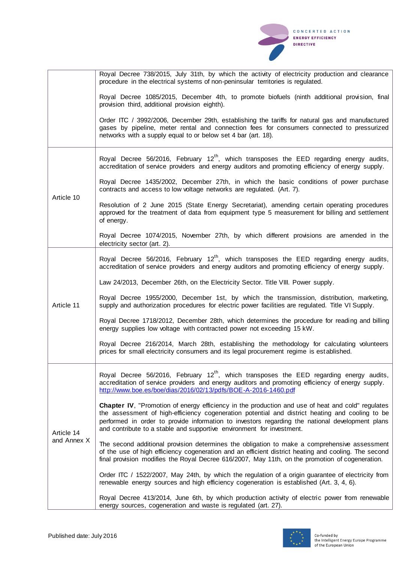|                           | Royal Decree 738/2015, July 31th, by which the activity of electricity production and clearance<br>procedure in the electrical systems of non-peninsular territories is regulated.                                                                                                                                                                                               |
|---------------------------|----------------------------------------------------------------------------------------------------------------------------------------------------------------------------------------------------------------------------------------------------------------------------------------------------------------------------------------------------------------------------------|
|                           | Royal Decree 1085/2015, December 4th, to promote biofuels (ninth additional provision, final<br>provision third, additional provision eighth).                                                                                                                                                                                                                                   |
|                           | Order ITC / 3992/2006, December 29th, establishing the tariffs for natural gas and manufactured<br>gases by pipeline, meter rental and connection fees for consumers connected to pressurized<br>networks with a supply equal to or below set 4 bar (art. 18).                                                                                                                   |
| Article 10                | Royal Decree 56/2016, February 12 <sup>th</sup> , which transposes the EED regarding energy audits,<br>accreditation of service providers and energy auditors and promoting efficiency of energy supply.                                                                                                                                                                         |
|                           | Royal Decree 1435/2002, December 27th, in which the basic conditions of power purchase<br>contracts and access to low voltage networks are regulated. (Art. 7).                                                                                                                                                                                                                  |
|                           | Resolution of 2 June 2015 (State Energy Secretariat), amending certain operating procedures<br>approved for the treatment of data from equipment type 5 measurement for billing and settlement<br>of energy.                                                                                                                                                                     |
|                           | Royal Decree 1074/2015, November 27th, by which different provisions are amended in the<br>electricity sector (art. 2).                                                                                                                                                                                                                                                          |
|                           | Royal Decree 56/2016, February 12 <sup>th</sup> , which transposes the EED regarding energy audits,<br>accreditation of service providers and energy auditors and promoting efficiency of energy supply.                                                                                                                                                                         |
|                           | Law 24/2013, December 26th, on the Electricity Sector. Title VIII. Power supply.                                                                                                                                                                                                                                                                                                 |
| Article 11                | Royal Decree 1955/2000, December 1st, by which the transmission, distribution, marketing,<br>supply and authorization procedures for electric power facilities are regulated. Title VI Supply.                                                                                                                                                                                   |
|                           | Royal Decree 1718/2012, December 28th, which determines the procedure for reading and billing<br>energy supplies low voltage with contracted power not exceeding 15 kW.                                                                                                                                                                                                          |
|                           | Royal Decree 216/2014, March 28th, establishing the methodology for calculating volunteers<br>prices for small electricity consumers and its legal procurement regime is established.                                                                                                                                                                                            |
| Article 14<br>and Annex X | Royal Decree 56/2016, February 12 <sup>th</sup> , which transposes the EED regarding energy audits,<br>accreditation of service providers and energy auditors and promoting efficiency of energy supply.<br>http://www.boe.es/boe/dias/2016/02/13/pdfs/BOE-A-2016-1460.pdf                                                                                                       |
|                           | Chapter IV, "Promotion of energy efficiency in the production and use of heat and cold" regulates<br>the assessment of high-efficiency cogeneration potential and district heating and cooling to be<br>performed in order to provide information to investors regarding the national development plans<br>and contribute to a stable and supportive environment for investment. |
|                           | The second additional provision determines the obligation to make a comprehensive assessment<br>of the use of high efficiency cogeneration and an efficient district heating and cooling. The second<br>final provision modifies the Royal Decree 616/2007, May 11th, on the promotion of cogeneration.                                                                          |
|                           | Order ITC / 1522/2007, May 24th, by which the regulation of a origin guarantee of electricity from<br>renewable energy sources and high efficiency cogeneration is established (Art. 3, 4, 6).                                                                                                                                                                                   |
|                           | Royal Decree 413/2014, June 6th, by which production activity of electric power from renewable<br>energy sources, cogeneration and waste is regulated (art. 27).                                                                                                                                                                                                                 |



CONCERTED ACTION **ENERGY EFFICIENCY DIRECTIVE**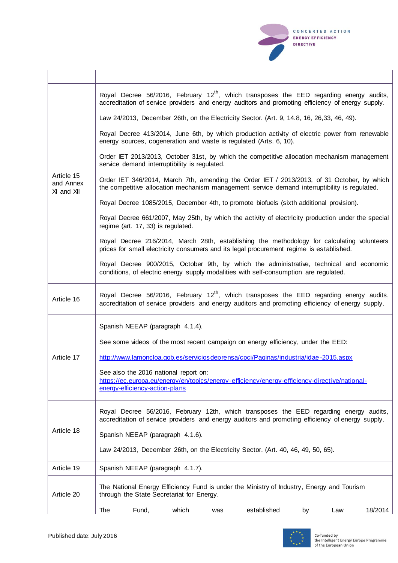

 $\overline{\mathbf{r}}$ 

| Article 15<br>and Annex<br>XI and XII | Royal Decree 56/2016, February 12 <sup>th</sup> , which transposes the EED regarding energy audits,<br>accreditation of service providers and energy auditors and promoting efficiency of energy supply. |
|---------------------------------------|----------------------------------------------------------------------------------------------------------------------------------------------------------------------------------------------------------|
|                                       | Law 24/2013, December 26th, on the Electricity Sector. (Art. 9, 14.8, 16, 26, 33, 46, 49).                                                                                                               |
|                                       | Royal Decree 413/2014, June 6th, by which production activity of electric power from renewable<br>energy sources, cogeneration and waste is regulated (Arts. 6, 10).                                     |
|                                       | Order IET 2013/2013, October 31st, by which the competitive allocation mechanism management<br>service demand interruptibility is regulated.                                                             |
|                                       | Order IET 346/2014, March 7th, amending the Order IET / 2013/2013, of 31 October, by which<br>the competitive allocation mechanism management service demand interruptibility is regulated.              |
|                                       | Royal Decree 1085/2015, December 4th, to promote biofuels (sixth additional provision).                                                                                                                  |
|                                       | Royal Decree 661/2007, May 25th, by which the activity of electricity production under the special<br>regime (art. 17, 33) is regulated.                                                                 |
|                                       | Royal Decree 216/2014, March 28th, establishing the methodology for calculating volunteers<br>prices for small electricity consumers and its legal procurement regime is established.                    |
|                                       | Royal Decree 900/2015, October 9th, by which the administrative, technical and economic<br>conditions, of electric energy supply modalities with self-consumption are regulated.                         |
| Article 16                            | Royal Decree 56/2016, February 12 <sup>th</sup> , which transposes the EED regarding energy audits,<br>accreditation of service providers and energy auditors and promoting efficiency of energy supply. |
|                                       | Spanish NEEAP (paragraph 4.1.4).                                                                                                                                                                         |
|                                       | See some videos of the most recent campaign on energy efficiency, under the EED:                                                                                                                         |
| Article 17                            | http://www.lamoncloa.gob.es/serviciosdeprensa/cpci/Paginas/industria/idae-2015.aspx                                                                                                                      |
|                                       | See also the 2016 national report on:<br>https://ec.europa.eu/energy/en/topics/energy-efficiency/energy-efficiency-directive/national-<br>energy-efficiency-action-plans                                 |
|                                       | Royal Decree 56/2016, February 12th, which transposes the EED regarding energy audits,<br>accreditation of service providers and energy auditors and promoting efficiency of energy supply.              |
| Article 18                            | Spanish NEEAP (paragraph 4.1.6).                                                                                                                                                                         |
|                                       | Law 24/2013, December 26th, on the Electricity Sector. (Art. 40, 46, 49, 50, 65).                                                                                                                        |
| Article 19                            | Spanish NEEAP (paragraph 4.1.7).                                                                                                                                                                         |
| Article 20                            | The National Energy Efficiency Fund is under the Ministry of Industry, Energy and Tourism<br>through the State Secretariat for Energy.                                                                   |
|                                       | Fund,<br>which<br>established<br>18/2014<br>The<br>Law<br>by<br>was                                                                                                                                      |

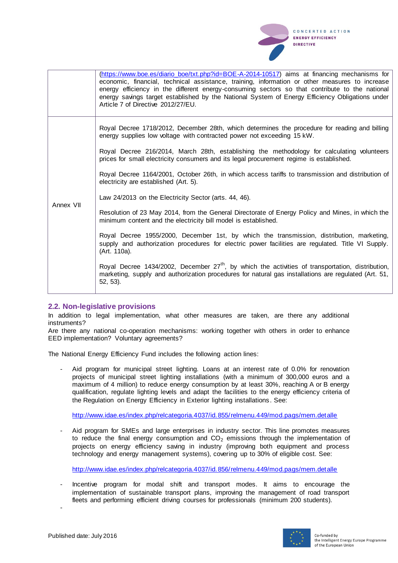

|           | (https://www.boe.es/diario_boe/txt.php?id=BOE-A-2014-10517) aims at financing mechanisms for<br>economic, financial, technical assistance, training, information or other measures to increase<br>energy efficiency in the different energy-consuming sectors so that contribute to the national<br>energy savings target established by the National System of Energy Efficiency Obligations under<br>Article 7 of Directive 2012/27/EU.                                                                                                                                                                                                                                                                                                                                                                                                                                                                                                                                                                                                                                                                                                                                                              |
|-----------|--------------------------------------------------------------------------------------------------------------------------------------------------------------------------------------------------------------------------------------------------------------------------------------------------------------------------------------------------------------------------------------------------------------------------------------------------------------------------------------------------------------------------------------------------------------------------------------------------------------------------------------------------------------------------------------------------------------------------------------------------------------------------------------------------------------------------------------------------------------------------------------------------------------------------------------------------------------------------------------------------------------------------------------------------------------------------------------------------------------------------------------------------------------------------------------------------------|
| Annex VII | Royal Decree 1718/2012, December 28th, which determines the procedure for reading and billing<br>energy supplies low voltage with contracted power not exceeding 15 kW.<br>Royal Decree 216/2014, March 28th, establishing the methodology for calculating volunteers<br>prices for small electricity consumers and its legal procurement regime is established.<br>Royal Decree 1164/2001, October 26th, in which access tariffs to transmission and distribution of<br>electricity are established (Art. 5).<br>Law 24/2013 on the Electricity Sector (arts. 44, 46).<br>Resolution of 23 May 2014, from the General Directorate of Energy Policy and Mines, in which the<br>minimum content and the electricity bill model is established.<br>Royal Decree 1955/2000, December 1st, by which the transmission, distribution, marketing,<br>supply and authorization procedures for electric power facilities are regulated. Title VI Supply.<br>(Art. 110a).<br>Royal Decree 1434/2002, December 27 <sup>th</sup> , by which the activities of transportation, distribution,<br>marketing, supply and authorization procedures for natural gas installations are regulated (Art. 51,<br>$52, 53$ ). |

## **2.2. Non-legislative provisions**

In addition to legal implementation, what other measures are taken, are there any additional instruments?

Are there any national co-operation mechanisms: working together with others in order to enhance EED implementation? Voluntary agreements?

The National Energy Efficiency Fund includes the following action lines:

Aid program for municipal street lighting. Loans at an interest rate of 0.0% for renovation projects of municipal street lighting installations (with a minimum of 300,000 euros and a maximum of 4 million) to reduce energy consumption by at least 30%, reaching A or B energy qualification, regulate lighting levels and adapt the facilities to the energy efficiency criteria of the Regulation on Energy Efficiency in Exterior lighting installations. See:

<http://www.idae.es/index.php/relcategoria.4037/id.855/relmenu.449/mod.pags/mem.detalle>

- Aid program for SMEs and large enterprises in industry sector. This line promotes measures to reduce the final energy consumption and  $CO<sub>2</sub>$  emissions through the implementation of projects on energy efficiency saving in industry (improving both equipment and process technology and energy management systems), covering up to 30% of eligible cost. See:

<http://www.idae.es/index.php/relcategoria.4037/id.856/relmenu.449/mod.pags/mem.detalle>

Incentive program for modal shift and transport modes. It aims to encourage the implementation of sustainable transport plans, improving the management of road transport fleets and performing efficient driving courses for professionals (minimum 200 students).



-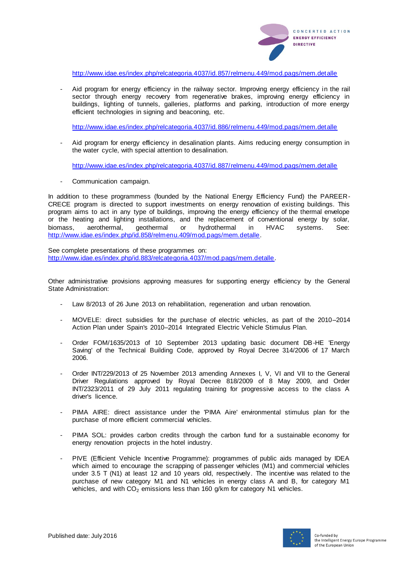

<http://www.idae.es/index.php/relcategoria.4037/id.857/relmenu.449/mod.pags/mem.detalle>

Aid program for energy efficiency in the railway sector. Improving energy efficiency in the rail sector through energy recovery from regenerative brakes, improving energy efficiency in buildings, lighting of tunnels, galleries, platforms and parking, introduction of more energy efficient technologies in signing and beaconing, etc.

<http://www.idae.es/index.php/relcategoria.4037/id.886/relmenu.449/mod.pags/mem.detalle>

- Aid program for energy efficiency in desalination plants. Aims reducing energy consumption in the water cycle, with special attention to desalination.

<http://www.idae.es/index.php/relcategoria.4037/id.887/relmenu.449/mod.pags/mem.detalle>

- Communication campaign.

In addition to these programmess (founded by the National Energy Efficiency Fund) the PAREER-CRECE program is directed to support investments on energy renovation of existing buildings. This program aims to act in any type of buildings, improving the energy efficiency of the thermal envelope or the heating and lighting installations, and the replacement of conventional energy by solar, biomass, aerothermal, geothermal or hydrothermal in HVAC systems. See: [http://www.idae.es/index.php/id.858/relmenu.409/mod.pags/mem.detalle.](http://www.idae.es/index.php/id.858/relmenu.409/mod.pags/mem.detalle)

See complete presentations of these programmes on: [http://www.idae.es/index.php/id.883/relcategoria.4037/mod.pags/mem.detalle.](http://www.idae.es/index.php/id.883/relcategoria.4037/mod.pags/mem.detalle)

Other administrative provisions approving measures for supporting energy efficiency by the General State Administration:

- Law 8/2013 of 26 June 2013 on rehabilitation, regeneration and urban renovation.
- MOVELE: direct subsidies for the purchase of electric vehicles, as part of the 2010–2014 Action Plan under Spain's 2010–2014 Integrated Electric Vehicle Stimulus Plan.
- Order FOM/1635/2013 of 10 September 2013 updating basic document DB-HE 'Energy Saving' of the Technical Building Code, approved by Royal Decree 314/2006 of 17 March 2006.
- Order INT/229/2013 of 25 November 2013 amending Annexes I, V, VI and VII to the General Driver Regulations approved by Royal Decree 818/2009 of 8 May 2009, and Order INT/2323/2011 of 29 July 2011 regulating training for progressive access to the class A driver's licence.
- PIMA AIRE: direct assistance under the 'PIMA Aire' environmental stimulus plan for the purchase of more efficient commercial vehicles.
- PIMA SOL: provides carbon credits through the carbon fund for a sustainable economy for energy renovation projects in the hotel industry.
- PIVE (Efficient Vehicle Incentive Programme): programmes of public aids managed by IDEA which aimed to encourage the scrapping of passenger vehicles (M1) and commercial vehicles under 3.5 T (N1) at least 12 and 10 years old, respectively. The incentive was related to the purchase of new category M1 and N1 vehicles in energy class A and B, for category M1 vehicles, and with  $CO<sub>2</sub>$  emissions less than 160 g/km for category N1 vehicles.